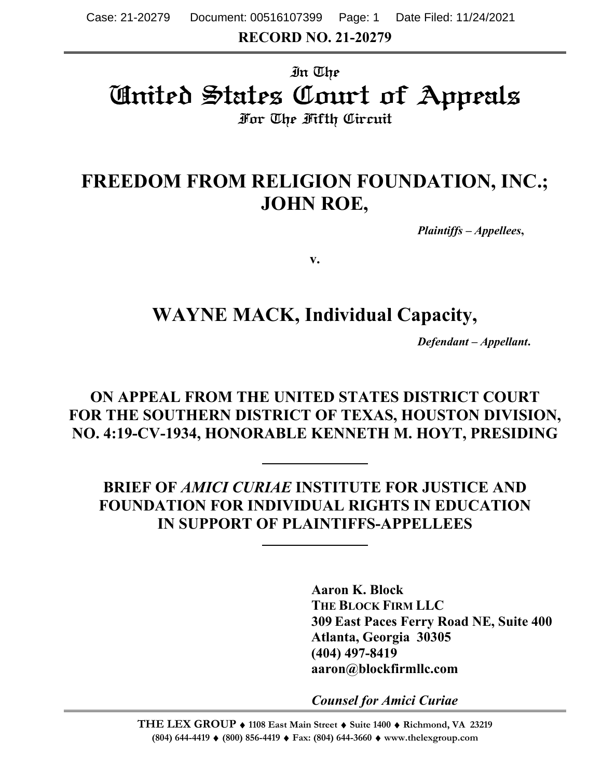# In The United States Court of Appeals For The Fifth Circuit

# **FREEDOM FROM RELIGION FOUNDATION, INC.; JOHN ROE,**

*Plaintiffs – Appellees***,**

**v.**

## **WAYNE MACK, Individual Capacity,**

*Defendant – Appellant***.**

## **ON APPEAL FROM THE UNITED STATES DISTRICT COURT FOR THE SOUTHERN DISTRICT OF TEXAS, HOUSTON DIVISION, NO. 4:19-CV-1934, HONORABLE KENNETH M. HOYT, PRESIDING**

**BRIEF OF** *AMICI CURIAE* **INSTITUTE FOR JUSTICE AND FOUNDATION FOR INDIVIDUAL RIGHTS IN EDUCATION IN SUPPORT OF PLAINTIFFS-APPELLEES**

> **Aaron K. Block THE BLOCK FIRM LLC 309 East Paces Ferry Road NE, Suite 400 Atlanta, Georgia 30305 (404) 497-8419 aaron@blockfirmllc.com**

*Counsel for Amici Curiae*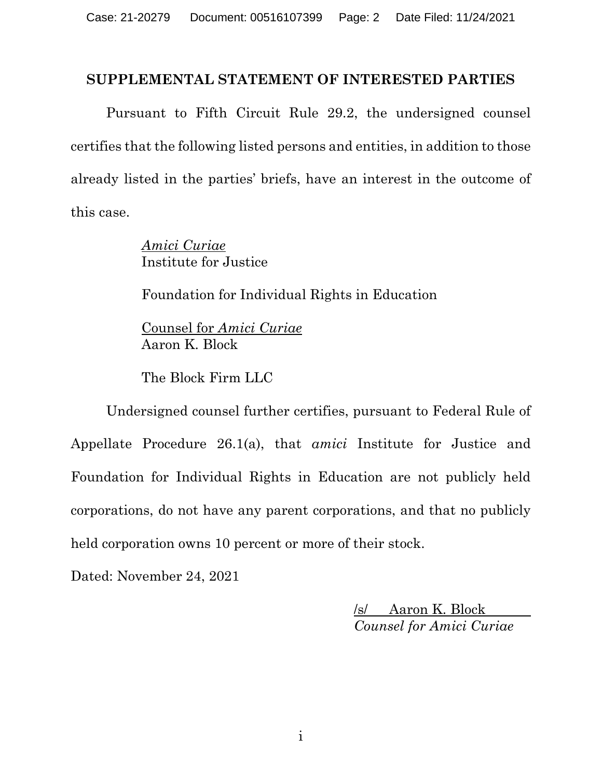#### **SUPPLEMENTAL STATEMENT OF INTERESTED PARTIES**

Pursuant to Fifth Circuit Rule 29.2, the undersigned counsel certifies that the following listed persons and entities, in addition to those already listed in the parties' briefs, have an interest in the outcome of this case.

> *Amici Curiae* Institute for Justice

Foundation for Individual Rights in Education

Counsel for *Amici Curiae* Aaron K. Block

The Block Firm LLC

Undersigned counsel further certifies, pursuant to Federal Rule of Appellate Procedure 26.1(a), that *amici* Institute for Justice and Foundation for Individual Rights in Education are not publicly held corporations, do not have any parent corporations, and that no publicly held corporation owns 10 percent or more of their stock.

Dated: November 24, 2021

/s/ Aaron K. Block *Counsel for Amici Curiae*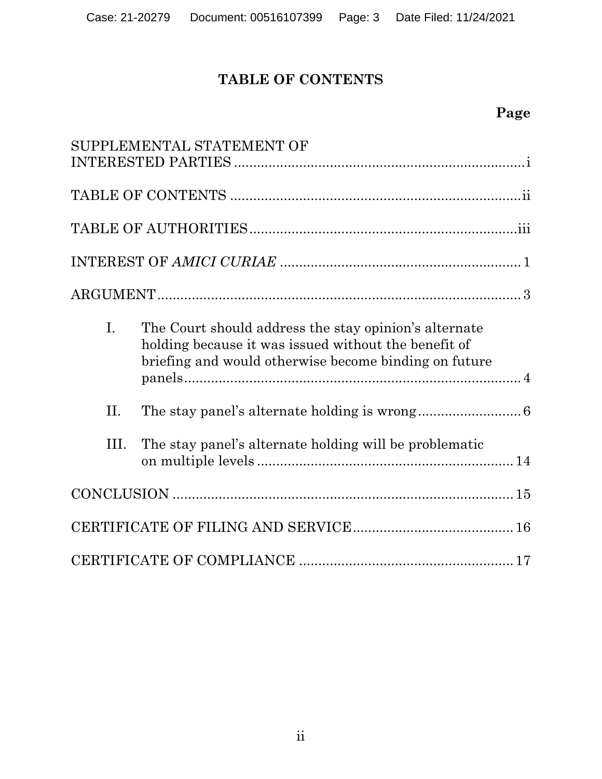## **TABLE OF CONTENTS**

|                | SUPPLEMENTAL STATEMENT OF                                                                                                                                              |
|----------------|------------------------------------------------------------------------------------------------------------------------------------------------------------------------|
|                |                                                                                                                                                                        |
|                |                                                                                                                                                                        |
|                |                                                                                                                                                                        |
|                |                                                                                                                                                                        |
| $\mathbf{I}$ . | The Court should address the stay opinion's alternate<br>holding because it was issued without the benefit of<br>briefing and would otherwise become binding on future |
| II.            |                                                                                                                                                                        |
| III.           | The stay panel's alternate holding will be problematic                                                                                                                 |
|                |                                                                                                                                                                        |
|                |                                                                                                                                                                        |
|                |                                                                                                                                                                        |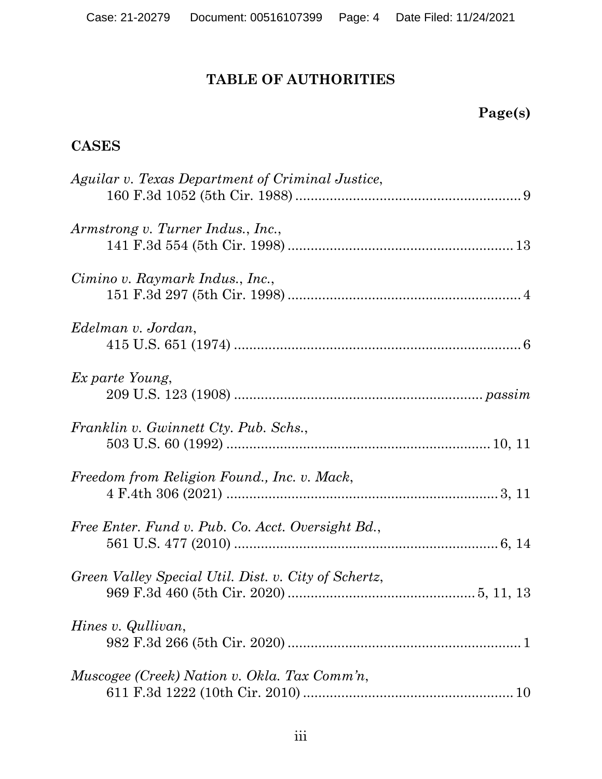## **TABLE OF AUTHORITIES**

## **Page(s)**

## **CASES**

| Aguilar v. Texas Department of Criminal Justice,     |  |
|------------------------------------------------------|--|
| Armstrong v. Turner Indus., Inc.,                    |  |
| Cimino v. Raymark Indus., Inc.,                      |  |
| Edelman v. Jordan,                                   |  |
| Ex parte Young,                                      |  |
| Franklin v. Gwinnett Cty. Pub. Schs.,                |  |
| Freedom from Religion Found., Inc. v. Mack,          |  |
| Free Enter. Fund v. Pub. Co. Acct. Oversight Bd.,    |  |
| Green Valley Special Util. Dist. v. City of Schertz, |  |
| Hines v. Qullivan,                                   |  |
| Muscogee (Creek) Nation v. Okla. Tax Comm'n,         |  |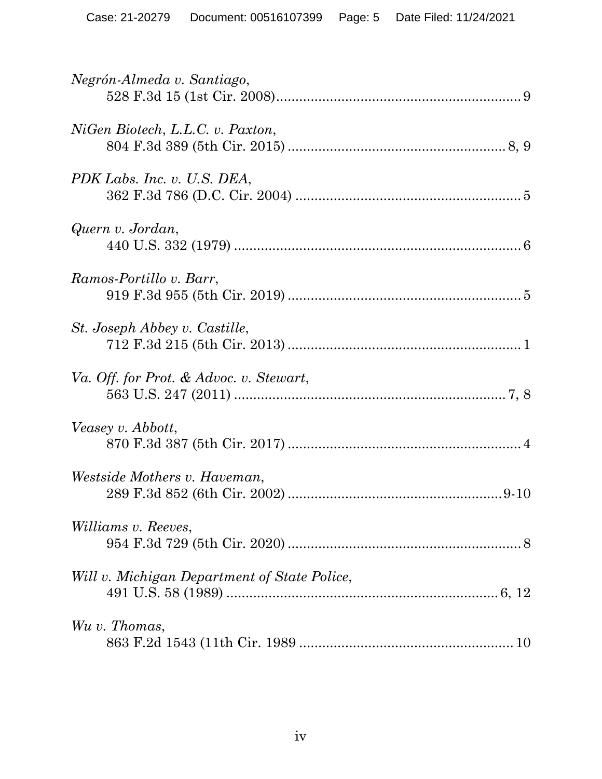| Negrón-Almeda v. Santiago,                   |
|----------------------------------------------|
| NiGen Biotech, L.L.C. v. Paxton,             |
| PDK Labs. Inc. v. U.S. DEA,                  |
| Quern v. Jordan,                             |
| Ramos-Portillo v. Barr,                      |
| St. Joseph Abbey v. Castille,                |
| Va. Off. for Prot. & Advoc. v. Stewart,      |
| Veasey v. Abbott,                            |
| <i>Westside Mothers v. Haveman,</i>          |
| <i>Williams v. Reeves,</i>                   |
| Will v. Michigan Department of State Police, |
| Wu v. Thomas,                                |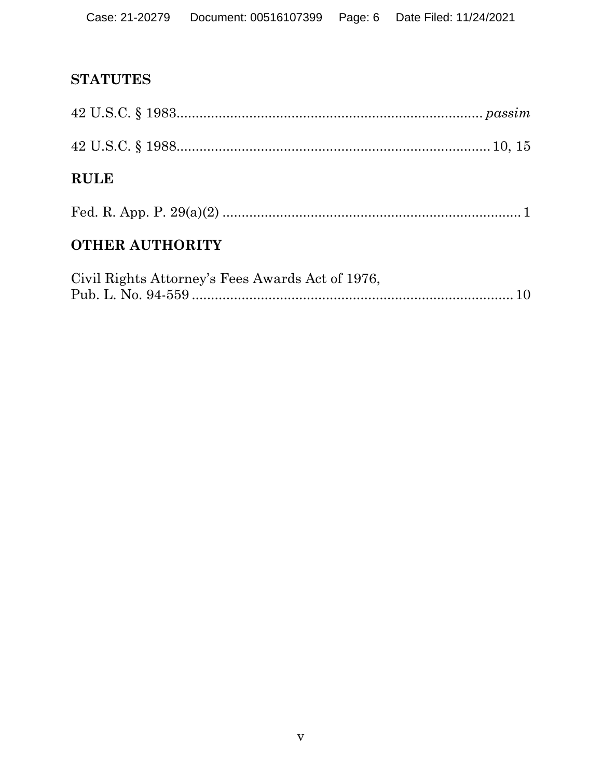## **STATUTES**

| <b>OTHER AUTHORITY</b> |  |
|------------------------|--|
|                        |  |
| <b>RULE</b>            |  |
|                        |  |
|                        |  |

| Civil Rights Attorney's Fees Awards Act of 1976, |  |
|--------------------------------------------------|--|
|                                                  |  |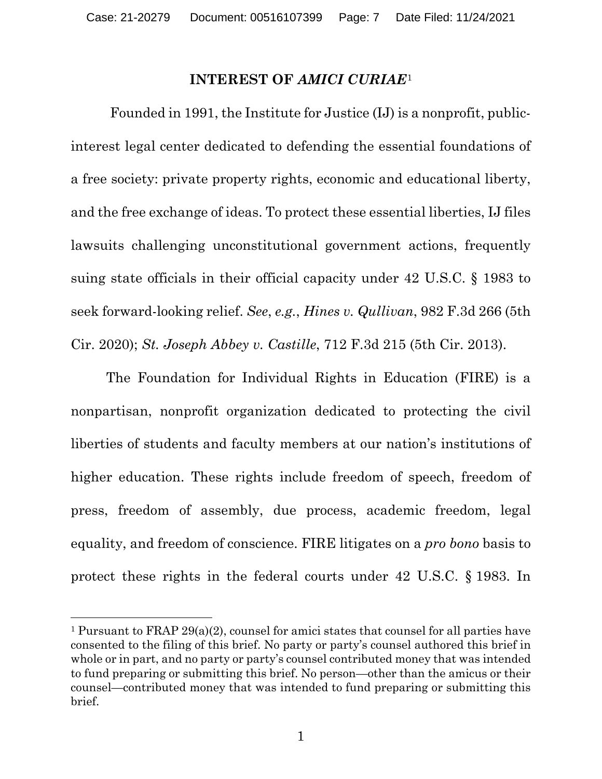#### **INTEREST OF** *AMICI CURIAE*[1](#page-6-0)

Founded in 1991, the Institute for Justice (IJ) is a nonprofit, publicinterest legal center dedicated to defending the essential foundations of a free society: private property rights, economic and educational liberty, and the free exchange of ideas. To protect these essential liberties, IJ files lawsuits challenging unconstitutional government actions, frequently suing state officials in their official capacity under 42 U.S.C. § 1983 to seek forward-looking relief. *See*, *e.g.*, *Hines v. Qullivan*, 982 F.3d 266 (5th Cir. 2020); *St. Joseph Abbey v. Castille*, 712 F.3d 215 (5th Cir. 2013).

The Foundation for Individual Rights in Education (FIRE) is a nonpartisan, nonprofit organization dedicated to protecting the civil liberties of students and faculty members at our nation's institutions of higher education. These rights include freedom of speech, freedom of press, freedom of assembly, due process, academic freedom, legal equality, and freedom of conscience. FIRE litigates on a *pro bono* basis to protect these rights in the federal courts under 42 U.S.C. § 1983. In

<span id="page-6-0"></span><sup>1</sup> Pursuant to FRAP 29(a)(2), counsel for amici states that counsel for all parties have consented to the filing of this brief. No party or party's counsel authored this brief in whole or in part, and no party or party's counsel contributed money that was intended to fund preparing or submitting this brief. No person—other than the amicus or their counsel—contributed money that was intended to fund preparing or submitting this brief.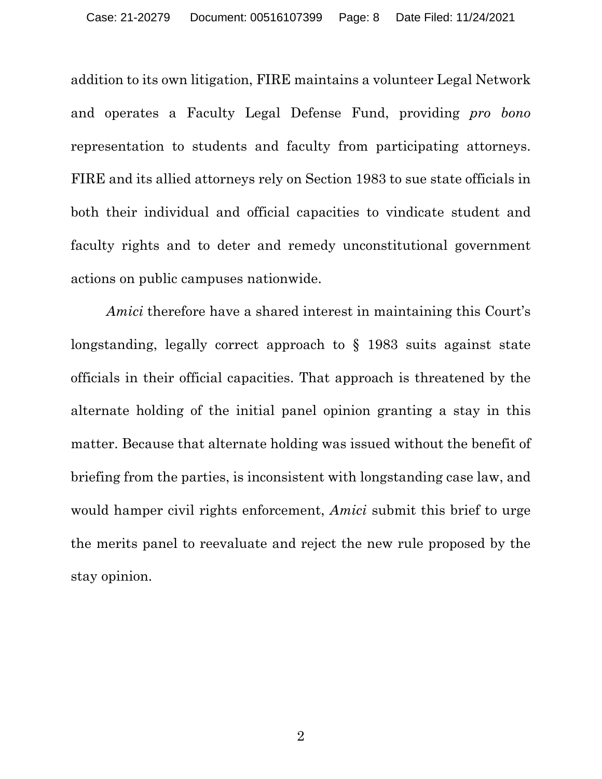addition to its own litigation, FIRE maintains a volunteer Legal Network and operates a Faculty Legal Defense Fund, providing *pro bono* representation to students and faculty from participating attorneys. FIRE and its allied attorneys rely on Section 1983 to sue state officials in both their individual and official capacities to vindicate student and faculty rights and to deter and remedy unconstitutional government actions on public campuses nationwide.

*Amici* therefore have a shared interest in maintaining this Court's longstanding, legally correct approach to § 1983 suits against state officials in their official capacities. That approach is threatened by the alternate holding of the initial panel opinion granting a stay in this matter. Because that alternate holding was issued without the benefit of briefing from the parties, is inconsistent with longstanding case law, and would hamper civil rights enforcement, *Amici* submit this brief to urge the merits panel to reevaluate and reject the new rule proposed by the stay opinion.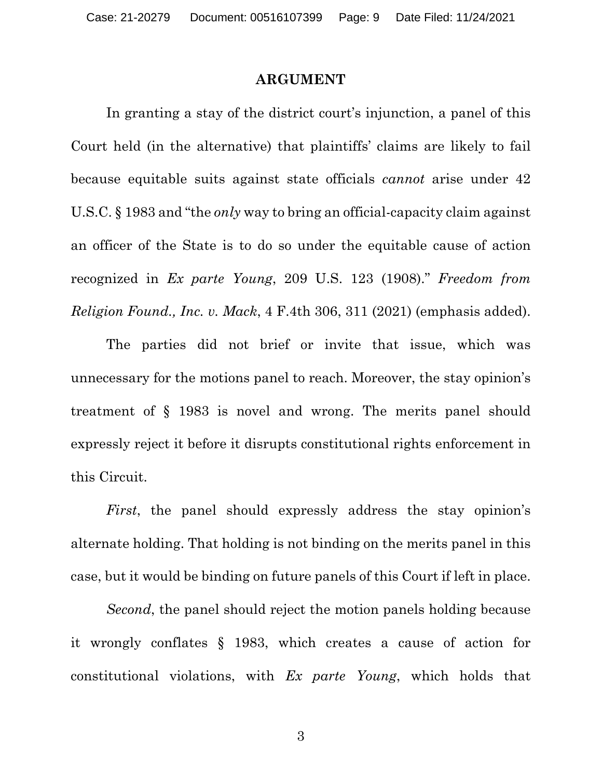#### **ARGUMENT**

In granting a stay of the district court's injunction, a panel of this Court held (in the alternative) that plaintiffs' claims are likely to fail because equitable suits against state officials *cannot* arise under 42 U.S.C. § 1983 and "the *only* way to bring an official-capacity claim against an officer of the State is to do so under the equitable cause of action recognized in *Ex parte Young*, 209 U.S. 123 (1908)." *Freedom from Religion Found., Inc. v. Mack*, 4 F.4th 306, 311 (2021) (emphasis added).

The parties did not brief or invite that issue, which was unnecessary for the motions panel to reach. Moreover, the stay opinion's treatment of § 1983 is novel and wrong. The merits panel should expressly reject it before it disrupts constitutional rights enforcement in this Circuit.

*First*, the panel should expressly address the stay opinion's alternate holding. That holding is not binding on the merits panel in this case, but it would be binding on future panels of this Court if left in place.

*Second*, the panel should reject the motion panels holding because it wrongly conflates § 1983, which creates a cause of action for constitutional violations, with *Ex parte Young*, which holds that

3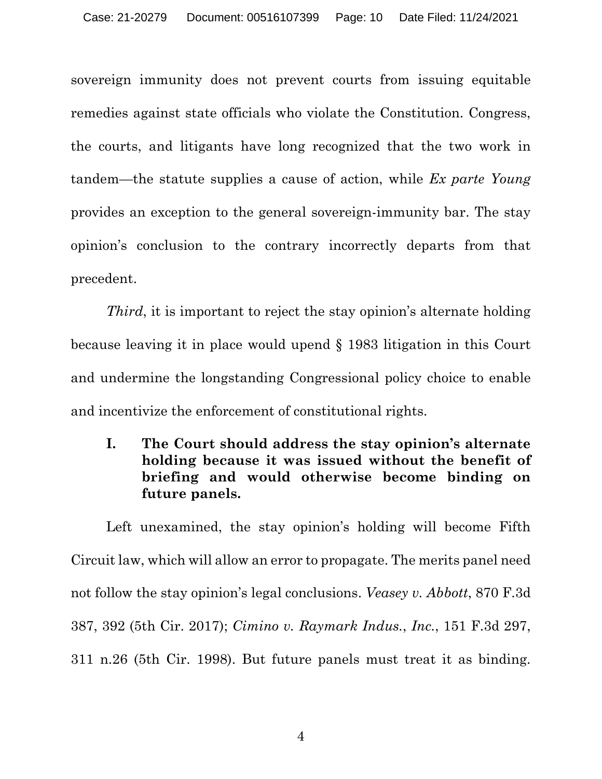sovereign immunity does not prevent courts from issuing equitable remedies against state officials who violate the Constitution. Congress, the courts, and litigants have long recognized that the two work in tandem—the statute supplies a cause of action, while *Ex parte Young* provides an exception to the general sovereign-immunity bar. The stay opinion's conclusion to the contrary incorrectly departs from that precedent.

*Third*, it is important to reject the stay opinion's alternate holding because leaving it in place would upend § 1983 litigation in this Court and undermine the longstanding Congressional policy choice to enable and incentivize the enforcement of constitutional rights.

**I. The Court should address the stay opinion's alternate holding because it was issued without the benefit of briefing and would otherwise become binding on future panels.** 

Left unexamined, the stay opinion's holding will become Fifth Circuit law, which will allow an error to propagate. The merits panel need not follow the stay opinion's legal conclusions. *Veasey v. Abbott*, 870 F.3d 387, 392 (5th Cir. 2017); *Cimino v. Raymark Indus.*, *Inc.*, 151 F.3d 297, 311 n.26 (5th Cir. 1998). But future panels must treat it as binding.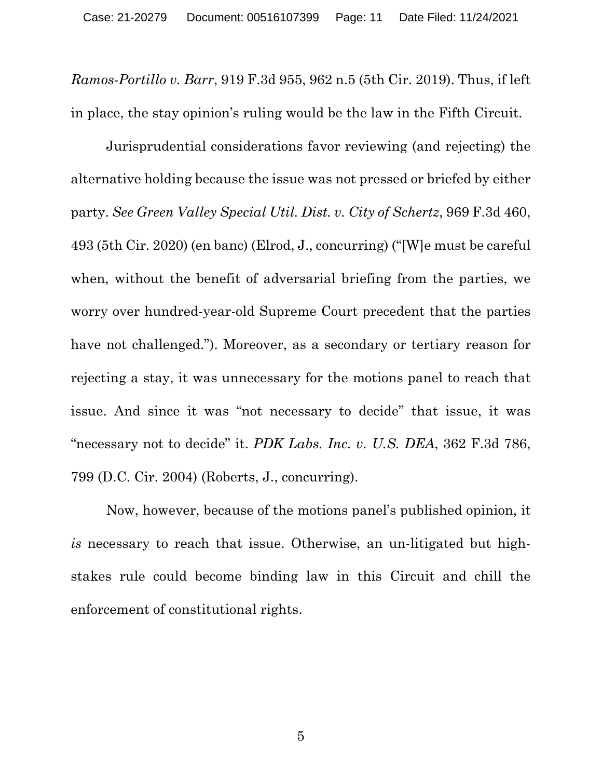*Ramos-Portillo v. Barr*, 919 F.3d 955, 962 n.5 (5th Cir. 2019). Thus, if left in place, the stay opinion's ruling would be the law in the Fifth Circuit.

Jurisprudential considerations favor reviewing (and rejecting) the alternative holding because the issue was not pressed or briefed by either party. *See Green Valley Special Util. Dist. v. City of Schertz*, 969 F.3d 460, 493 (5th Cir. 2020) (en banc) (Elrod, J., concurring) ("[W]e must be careful when, without the benefit of adversarial briefing from the parties, we worry over hundred-year-old Supreme Court precedent that the parties have not challenged."). Moreover, as a secondary or tertiary reason for rejecting a stay, it was unnecessary for the motions panel to reach that issue. And since it was "not necessary to decide" that issue, it was "necessary not to decide" it. *PDK Labs. Inc. v. U.S. DEA*, 362 F.3d 786, 799 (D.C. Cir. 2004) (Roberts, J., concurring).

Now, however, because of the motions panel's published opinion, it *is* necessary to reach that issue. Otherwise, an un-litigated but highstakes rule could become binding law in this Circuit and chill the enforcement of constitutional rights.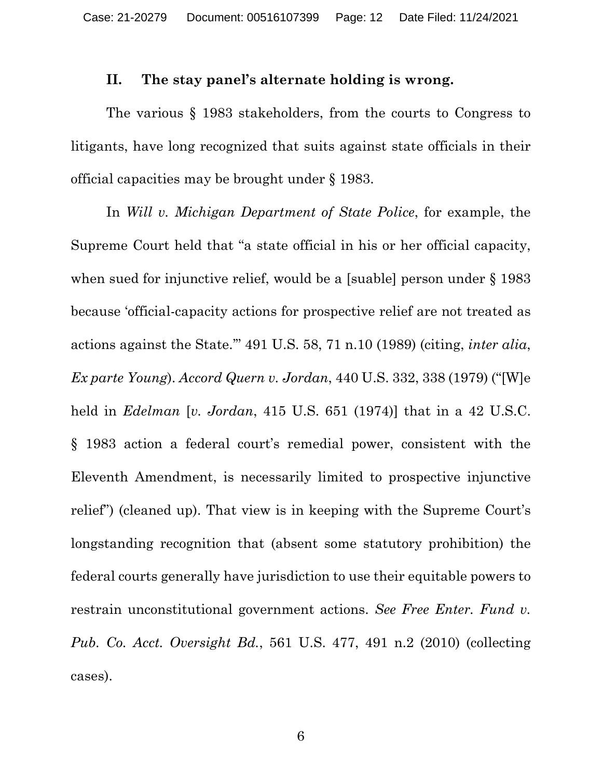#### **II. The stay panel's alternate holding is wrong.**

The various § 1983 stakeholders, from the courts to Congress to litigants, have long recognized that suits against state officials in their official capacities may be brought under § 1983.

In *Will v. Michigan Department of State Police*, for example, the Supreme Court held that "a state official in his or her official capacity, when sued for injunctive relief, would be a [suable] person under § 1983 because 'official-capacity actions for prospective relief are not treated as actions against the State.'" 491 U.S. 58, 71 n.10 (1989) (citing, *inter alia*, *Ex parte Young*). *Accord Quern v. Jordan*, 440 U.S. 332, 338 (1979) ("[W]e held in *Edelman* [*v. Jordan*, 415 U.S. 651 (1974)] that in a 42 U.S.C. § 1983 action a federal court's remedial power, consistent with the Eleventh Amendment, is necessarily limited to prospective injunctive relief") (cleaned up). That view is in keeping with the Supreme Court's longstanding recognition that (absent some statutory prohibition) the federal courts generally have jurisdiction to use their equitable powers to restrain unconstitutional government actions. *See Free Enter. Fund v. Pub. Co. Acct. Oversight Bd.*, 561 U.S. 477, 491 n.2 (2010) (collecting cases).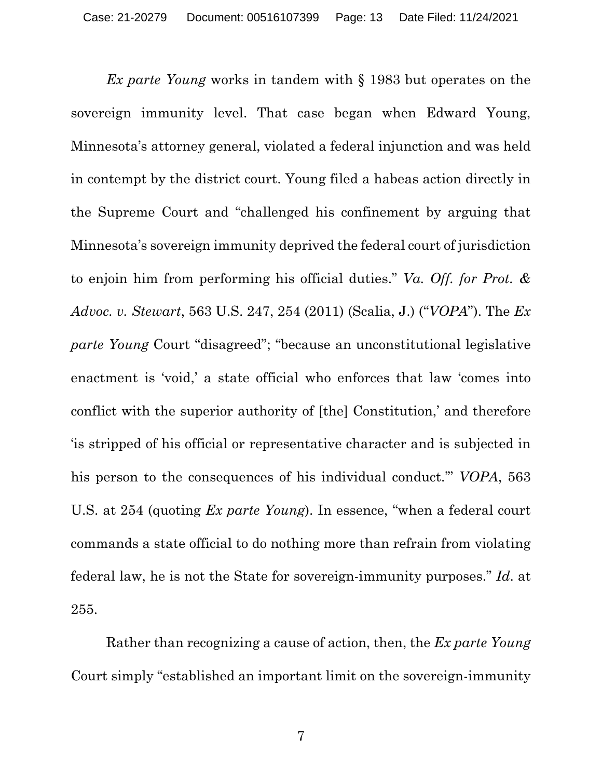*Ex parte Young* works in tandem with § 1983 but operates on the sovereign immunity level. That case began when Edward Young, Minnesota's attorney general, violated a federal injunction and was held in contempt by the district court. Young filed a habeas action directly in the Supreme Court and "challenged his confinement by arguing that Minnesota's sovereign immunity deprived the federal court of jurisdiction to enjoin him from performing his official duties." *Va. Off. for Prot. & Advoc. v. Stewart*, 563 U.S. 247, 254 (2011) (Scalia, J.) ("*VOPA*"). The *Ex parte Young* Court "disagreed"; "because an unconstitutional legislative enactment is 'void,' a state official who enforces that law 'comes into conflict with the superior authority of [the] Constitution,' and therefore 'is stripped of his official or representative character and is subjected in his person to the consequences of his individual conduct.'" *VOPA*, 563 U.S. at 254 (quoting *Ex parte Young*). In essence, "when a federal court commands a state official to do nothing more than refrain from violating federal law, he is not the State for sovereign-immunity purposes." *Id*. at 255.

Rather than recognizing a cause of action, then, the *Ex parte Young* Court simply "established an important limit on the sovereign-immunity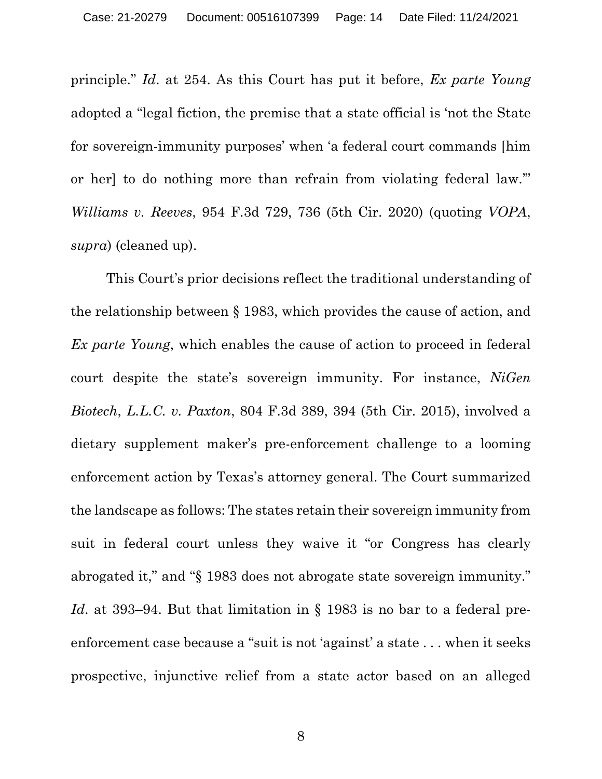principle." *Id*. at 254. As this Court has put it before, *Ex parte Young* adopted a "legal fiction, the premise that a state official is 'not the State for sovereign-immunity purposes' when 'a federal court commands [him or her] to do nothing more than refrain from violating federal law.'" *Williams v. Reeves*, 954 F.3d 729, 736 (5th Cir. 2020) (quoting *VOPA*, *supra*) (cleaned up).

This Court's prior decisions reflect the traditional understanding of the relationship between § 1983, which provides the cause of action, and *Ex parte Young*, which enables the cause of action to proceed in federal court despite the state's sovereign immunity. For instance, *NiGen Biotech*, *L.L.C. v. Paxton*, 804 F.3d 389, 394 (5th Cir. 2015), involved a dietary supplement maker's pre-enforcement challenge to a looming enforcement action by Texas's attorney general. The Court summarized the landscape as follows: The states retain their sovereign immunity from suit in federal court unless they waive it "or Congress has clearly abrogated it," and "§ 1983 does not abrogate state sovereign immunity." *Id.* at 393–94. But that limitation in § 1983 is no bar to a federal preenforcement case because a "suit is not 'against' a state . . . when it seeks prospective, injunctive relief from a state actor based on an alleged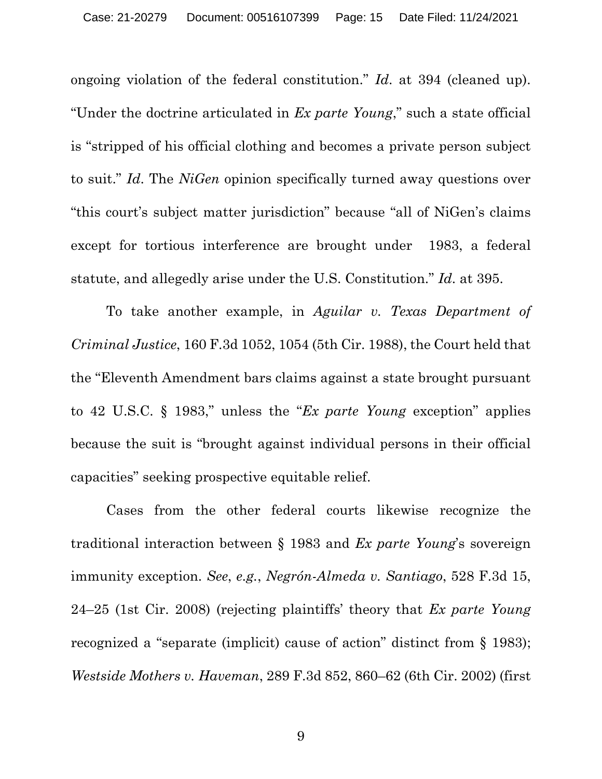ongoing violation of the federal constitution." *Id*. at 394 (cleaned up). "Under the doctrine articulated in *Ex parte Young*," such a state official is "stripped of his official clothing and becomes a private person subject to suit." *Id*. The *NiGen* opinion specifically turned away questions over "this court's subject matter jurisdiction" because "all of NiGen's claims except for tortious interference are brought under 1983, a federal statute, and allegedly arise under the U.S. Constitution." *Id*. at 395.

To take another example, in *Aguilar v. Texas Department of Criminal Justice*, 160 F.3d 1052, 1054 (5th Cir. 1988), the Court held that the "Eleventh Amendment bars claims against a state brought pursuant to 42 U.S.C. § 1983," unless the "*Ex parte Young* exception" applies because the suit is "brought against individual persons in their official capacities" seeking prospective equitable relief.

Cases from the other federal courts likewise recognize the traditional interaction between § 1983 and *Ex parte Young*'s sovereign immunity exception. *See*, *e.g.*, *Negrón-Almeda v. Santiago*, 528 F.3d 15, 24–25 (1st Cir. 2008) (rejecting plaintiffs' theory that *Ex parte Young* recognized a "separate (implicit) cause of action" distinct from § 1983); *Westside Mothers v. Haveman*, 289 F.3d 852, 860–62 (6th Cir. 2002) (first

9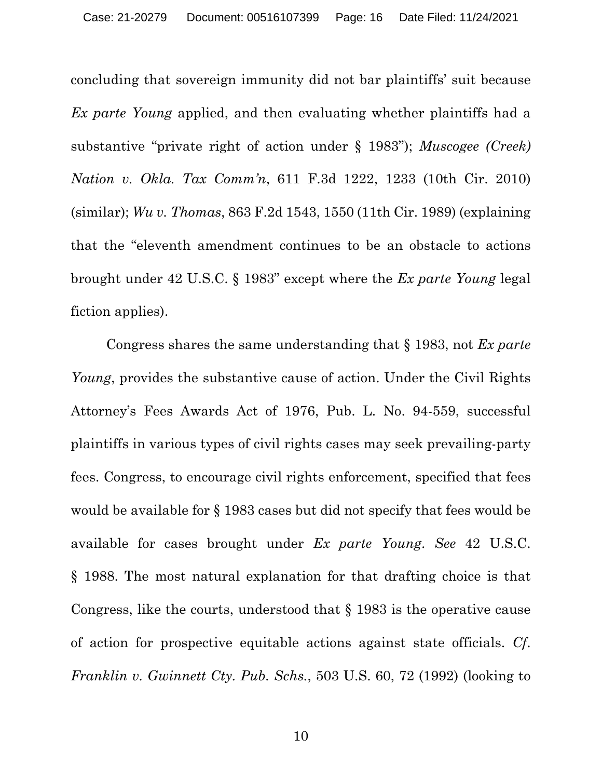concluding that sovereign immunity did not bar plaintiffs' suit because *Ex parte Young* applied, and then evaluating whether plaintiffs had a substantive "private right of action under § 1983"); *Muscogee (Creek) Nation v. Okla. Tax Comm'n*, 611 F.3d 1222, 1233 (10th Cir. 2010) (similar); *Wu v. Thomas*, 863 F.2d 1543, 1550 (11th Cir. 1989) (explaining that the "eleventh amendment continues to be an obstacle to actions brought under 42 U.S.C. § 1983" except where the *Ex parte Young* legal fiction applies).

Congress shares the same understanding that § 1983, not *Ex parte Young*, provides the substantive cause of action. Under the Civil Rights Attorney's Fees Awards Act of 1976, Pub. L. No. 94-559, successful plaintiffs in various types of civil rights cases may seek prevailing-party fees. Congress, to encourage civil rights enforcement, specified that fees would be available for § 1983 cases but did not specify that fees would be available for cases brought under *Ex parte Young*. *See* 42 U.S.C. § 1988. The most natural explanation for that drafting choice is that Congress, like the courts, understood that § 1983 is the operative cause of action for prospective equitable actions against state officials. *Cf*. *Franklin v. Gwinnett Cty. Pub. Schs.*, 503 U.S. 60, 72 (1992) (looking to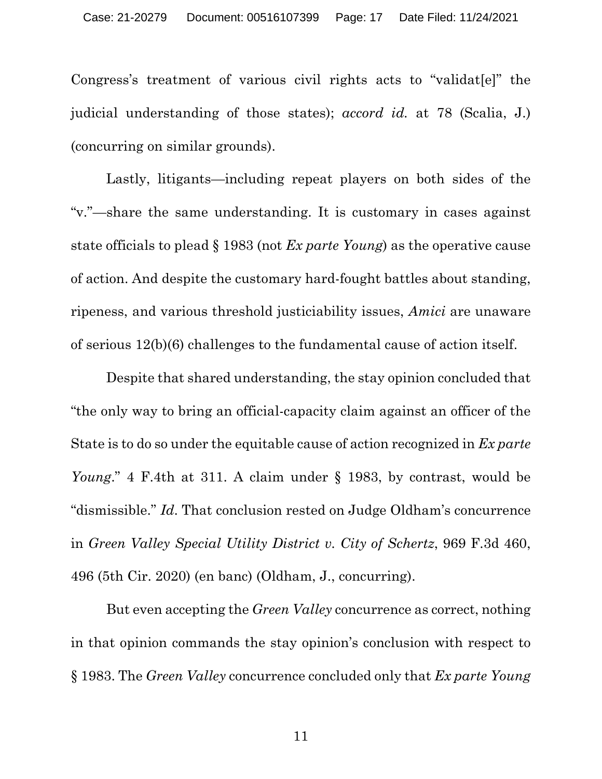Congress's treatment of various civil rights acts to "validat[e]" the judicial understanding of those states); *accord id.* at 78 (Scalia, J.) (concurring on similar grounds).

Lastly, litigants—including repeat players on both sides of the "v."—share the same understanding. It is customary in cases against state officials to plead § 1983 (not *Ex parte Young*) as the operative cause of action. And despite the customary hard-fought battles about standing, ripeness, and various threshold justiciability issues, *Amici* are unaware of serious 12(b)(6) challenges to the fundamental cause of action itself.

Despite that shared understanding, the stay opinion concluded that "the only way to bring an official-capacity claim against an officer of the State is to do so under the equitable cause of action recognized in *Ex parte Young*." 4 F.4th at 311. A claim under § 1983, by contrast, would be "dismissible." *Id*. That conclusion rested on Judge Oldham's concurrence in *Green Valley Special Utility District v. City of Schertz*, 969 F.3d 460, 496 (5th Cir. 2020) (en banc) (Oldham, J., concurring).

But even accepting the *Green Valley* concurrence as correct, nothing in that opinion commands the stay opinion's conclusion with respect to § 1983. The *Green Valley* concurrence concluded only that *Ex parte Young*

11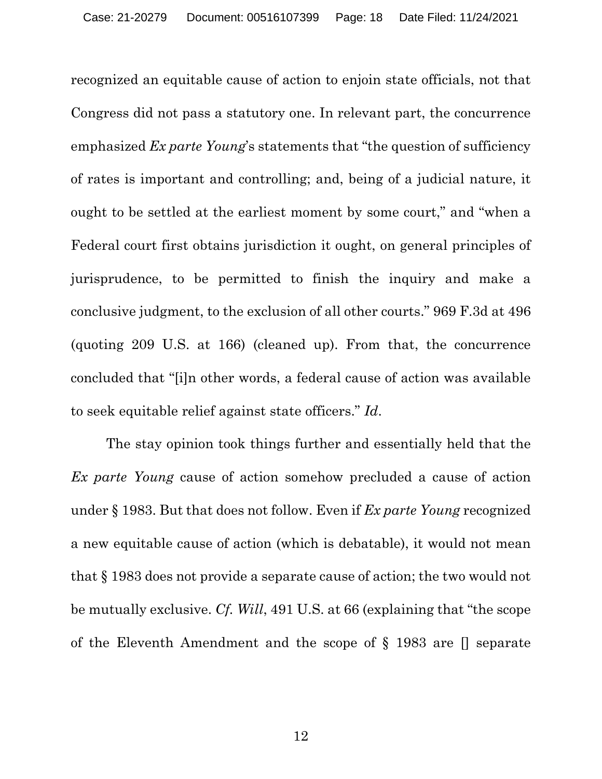recognized an equitable cause of action to enjoin state officials, not that Congress did not pass a statutory one. In relevant part, the concurrence emphasized *Ex parte Young*'s statements that "the question of sufficiency of rates is important and controlling; and, being of a judicial nature, it ought to be settled at the earliest moment by some court," and "when a Federal court first obtains jurisdiction it ought, on general principles of jurisprudence, to be permitted to finish the inquiry and make a conclusive judgment, to the exclusion of all other courts." 969 F.3d at 496 (quoting 209 U.S. at 166) (cleaned up). From that, the concurrence concluded that "[i]n other words, a federal cause of action was available to seek equitable relief against state officers." *Id*.

The stay opinion took things further and essentially held that the *Ex parte Young* cause of action somehow precluded a cause of action under § 1983. But that does not follow. Even if *Ex parte Young* recognized a new equitable cause of action (which is debatable), it would not mean that § 1983 does not provide a separate cause of action; the two would not be mutually exclusive. *Cf. Will*, 491 U.S. at 66 (explaining that "the scope of the Eleventh Amendment and the scope of § 1983 are [] separate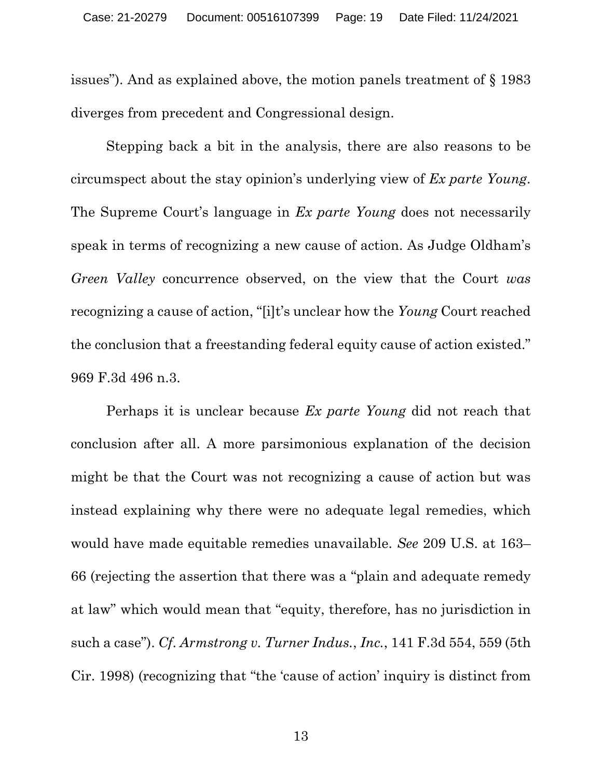issues"). And as explained above, the motion panels treatment of § 1983 diverges from precedent and Congressional design.

Stepping back a bit in the analysis, there are also reasons to be circumspect about the stay opinion's underlying view of *Ex parte Young*. The Supreme Court's language in *Ex parte Young* does not necessarily speak in terms of recognizing a new cause of action. As Judge Oldham's *Green Valley* concurrence observed, on the view that the Court *was* recognizing a cause of action, "[i]t's unclear how the *Young* Court reached the conclusion that a freestanding federal equity cause of action existed." 969 F.3d 496 n.3.

Perhaps it is unclear because *Ex parte Young* did not reach that conclusion after all. A more parsimonious explanation of the decision might be that the Court was not recognizing a cause of action but was instead explaining why there were no adequate legal remedies, which would have made equitable remedies unavailable. *See* 209 U.S. at 163– 66 (rejecting the assertion that there was a "plain and adequate remedy at law" which would mean that "equity, therefore, has no jurisdiction in such a case"). *Cf*. *Armstrong v. Turner Indus.*, *Inc.*, 141 F.3d 554, 559 (5th Cir. 1998) (recognizing that "the 'cause of action' inquiry is distinct from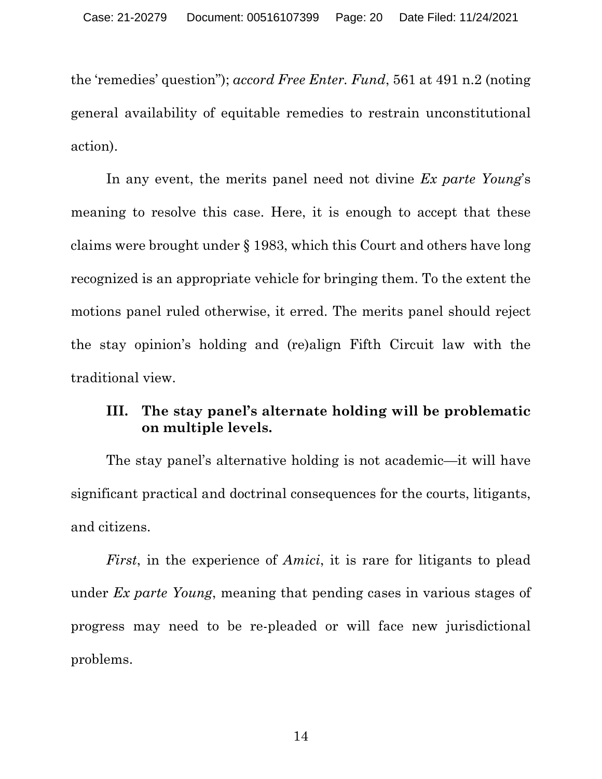the 'remedies' question"); *accord Free Enter. Fund*, 561 at 491 n.2 (noting general availability of equitable remedies to restrain unconstitutional action).

In any event, the merits panel need not divine *Ex parte Young*'s meaning to resolve this case. Here, it is enough to accept that these claims were brought under § 1983, which this Court and others have long recognized is an appropriate vehicle for bringing them. To the extent the motions panel ruled otherwise, it erred. The merits panel should reject the stay opinion's holding and (re)align Fifth Circuit law with the traditional view.

#### **III. The stay panel's alternate holding will be problematic on multiple levels.**

The stay panel's alternative holding is not academic—it will have significant practical and doctrinal consequences for the courts, litigants, and citizens.

*First*, in the experience of *Amici*, it is rare for litigants to plead under *Ex parte Young*, meaning that pending cases in various stages of progress may need to be re-pleaded or will face new jurisdictional problems.

14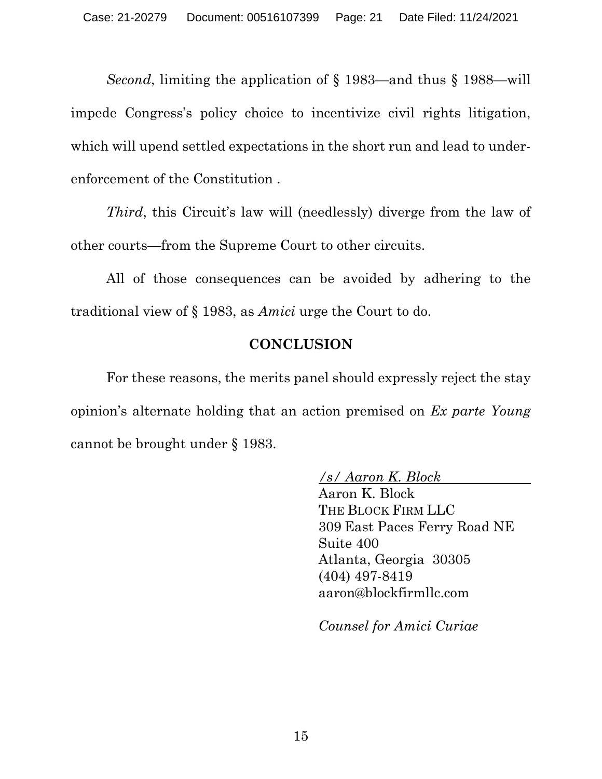*Second*, limiting the application of § 1983—and thus § 1988—will impede Congress's policy choice to incentivize civil rights litigation, which will upend settled expectations in the short run and lead to underenforcement of the Constitution .

*Third*, this Circuit's law will (needlessly) diverge from the law of other courts—from the Supreme Court to other circuits.

All of those consequences can be avoided by adhering to the traditional view of § 1983, as *Amici* urge the Court to do.

#### **CONCLUSION**

For these reasons, the merits panel should expressly reject the stay opinion's alternate holding that an action premised on *Ex parte Young* cannot be brought under § 1983.

*/s/ Aaron K. Block*

Aaron K. Block THE BLOCK FIRM LLC 309 East Paces Ferry Road NE Suite 400 Atlanta, Georgia 30305 (404) 497-8419 aaron@blockfirmllc.com

*Counsel for Amici Curiae*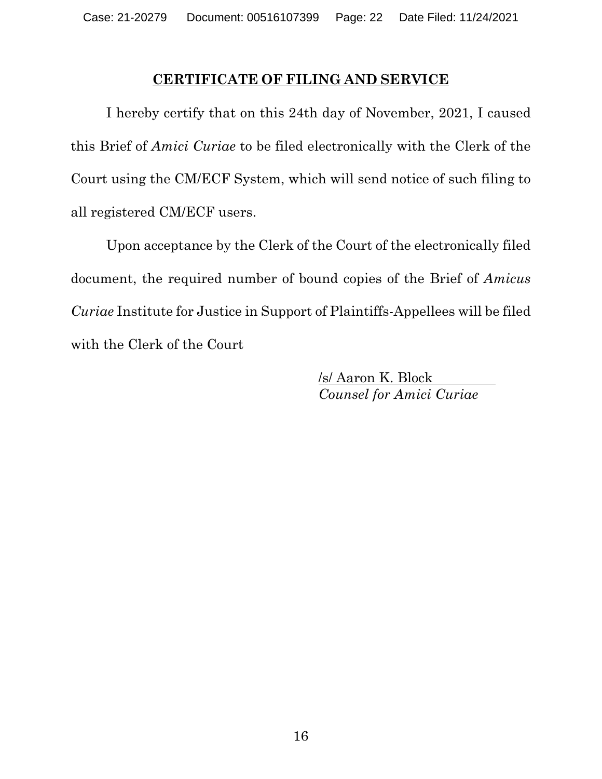#### **CERTIFICATE OF FILING AND SERVICE**

I hereby certify that on this 24th day of November, 2021, I caused this Brief of *Amici Curiae* to be filed electronically with the Clerk of the Court using the CM/ECF System, which will send notice of such filing to all registered CM/ECF users.

Upon acceptance by the Clerk of the Court of the electronically filed document, the required number of bound copies of the Brief of *Amicus Curiae* Institute for Justice in Support of Plaintiffs-Appellees will be filed with the Clerk of the Court

> /s/ Aaron K. Block *Counsel for Amici Curiae*